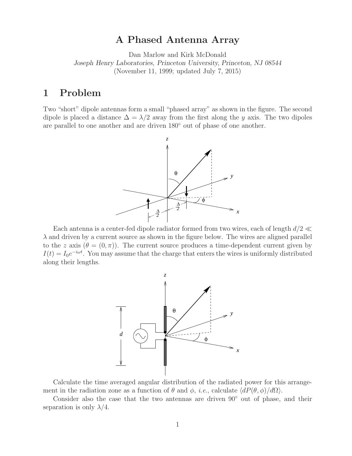### **A Phased Antenna Array**

Dan Marlow and Kirk McDonald *Joseph Henry Laboratories, Princeton University, Princeton, NJ 08544* (November 11, 1999; updated July 7, 2015)

## **1 Problem**

Two "short" dipole antennas form a small "phased array" as shown in the figure. The second dipole is placed a distance  $\Delta = \lambda/2$  away from the first along the y axis. The two dipoles are parallel to one another and are driven 180◦ out of phase of one another.



Each antenna is a center-fed dipole radiator formed from two wires, each of length  $d/2 \ll$  $\lambda$  and driven by a current source as shown in the figure below. The wires are aligned parallel to the z axis  $(\theta = (0, \pi))$ . The current source produces a time-dependent current given by  $I(t) = I_0 e^{-i\omega t}$ . You may assume that the charge that enters the wires is uniformly distributed along their lengths.



Calculate the time averaged angular distribution of the radiated power for this arrangement in the radiation zone as a function of  $\theta$  and  $\phi$ , *i.e.*, calculate  $\langle dP(\theta, \phi)/d\Omega \rangle$ .

Consider also the case that the two antennas are driven 90◦ out of phase, and their separation is only  $\lambda/4$ .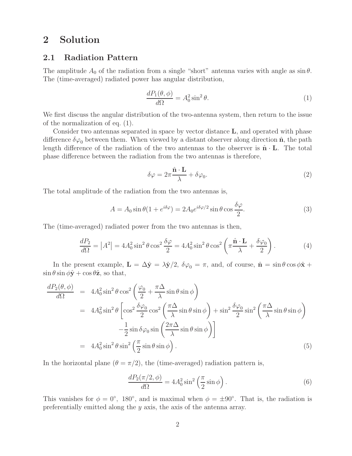## **2 Solution**

#### **2.1 Radiation Pattern**

The amplitude  $A_0$  of the radiation from a single "short" antenna varies with angle as  $\sin \theta$ . The (time-averaged) radiated power has angular distribution,

$$
\frac{dP_1(\theta,\phi)}{d\Omega} = A_0^2 \sin^2 \theta. \tag{1}
$$

We first discuss the angular distribution of the two-antenna system, then return to the issue of the normalization of eq. (1).

Consider two antennas separated in space by vector distance **L**, and operated with phase difference  $\delta\varphi_0$  between them. When viewed by a distant observer along direction  $\hat{\mathbf{n}}$ , the path length difference of the radiation of the two antennas to the observer is  $\hat{\mathbf{n}} \cdot \mathbf{L}$ . The total phase difference between the radiation from the two antennas is therefore,

$$
\delta\varphi = 2\pi \frac{\hat{\mathbf{n}} \cdot \mathbf{L}}{\lambda} + \delta\varphi_0.
$$
 (2)

The total amplitude of the radiation from the two antennas is,

$$
A = A_0 \sin \theta (1 + e^{i\delta \varphi}) = 2A_0 e^{i\delta \varphi/2} \sin \theta \cos \frac{\delta \varphi}{2}.
$$
 (3)

The (time-averaged) radiated power from the two antennas is then,

$$
\frac{dP_2}{d\Omega} = |A^2| = 4A_0^2 \sin^2 \theta \cos^2 \frac{\delta \varphi}{2} = 4A_0^2 \sin^2 \theta \cos^2 \left(\pi \frac{\hat{\mathbf{n}} \cdot \mathbf{L}}{\lambda} + \frac{\delta \varphi_0}{2}\right). \tag{4}
$$

In the present example,  $\mathbf{L} = \Delta \hat{\mathbf{y}} = \lambda \hat{\mathbf{y}}/2$ ,  $\delta \varphi_0 = \pi$ , and, of course,  $\hat{\mathbf{n}} = \sin \theta \cos \phi \hat{\mathbf{x}} + \hat{\mathbf{y}}$  $\sin \theta \sin \phi \hat{\mathbf{y}} + \cos \theta \hat{\mathbf{z}}$ , so that,

$$
\frac{dP_2(\theta,\phi)}{d\Omega} = 4A_0^2 \sin^2 \theta \cos^2 \left(\frac{\varphi_0}{2} + \frac{\pi \Delta}{\lambda} \sin \theta \sin \phi\right)
$$
  
\n
$$
= 4A_0^2 \sin^2 \theta \left[\cos^2 \frac{\delta \varphi_0}{2} \cos^2 \left(\frac{\pi \Delta}{\lambda} \sin \theta \sin \phi\right) + \sin^2 \frac{\delta \varphi_0}{2} \sin^2 \left(\frac{\pi \Delta}{\lambda} \sin \theta \sin \phi\right)\right]
$$
  
\n
$$
- \frac{1}{2} \sin \delta \varphi_0 \sin \left(\frac{2\pi \Delta}{\lambda} \sin \theta \sin \phi\right)
$$
  
\n
$$
= 4A_0^2 \sin^2 \theta \sin^2 \left(\frac{\pi}{2} \sin \theta \sin \phi\right).
$$
 (5)

In the horizontal plane  $(\theta = \pi/2)$ , the (time-averaged) radiation pattern is,

$$
\frac{dP_2(\pi/2,\phi)}{d\Omega} = 4A_0^2 \sin^2\left(\frac{\pi}{2}\sin\phi\right). \tag{6}
$$

This vanishes for  $\phi = 0^{\circ}$ , 180°, and is maximal when  $\phi = \pm 90^{\circ}$ . That is, the radiation is preferentially emitted along the y axis, the axis of the antenna array.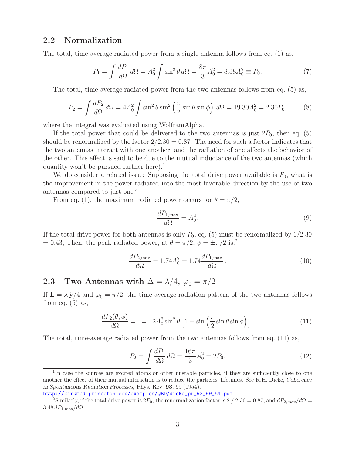#### **2.2 Normalization**

The total, time-average radiated power from a single antenna follows from eq. (1) as,

$$
P_1 = \int \frac{dP_1}{d\Omega} d\Omega = A_0^2 \int \sin^2 \theta \, d\Omega = \frac{8\pi}{3} A_0^2 = 8.38 A_0^2 \equiv P_0. \tag{7}
$$

The total, time-average radiated power from the two antennas follows from eq. (5) as,

$$
P_2 = \int \frac{dP_2}{d\Omega} d\Omega = 4A_0^2 \int \sin^2 \theta \sin^2 \left(\frac{\pi}{2} \sin \theta \sin \phi\right) d\Omega = 19.30 A_0^2 = 2.30 P_0,
$$
 (8)

where the integral was evaluated using WolframAlpha.

If the total power that could be delivered to the two antennas is just  $2P_0$ , then eq. (5) should be renormalized by the factor  $2/2.30 = 0.87$ . The need for such a factor indicates that the two antennas interact with one another, and the radiation of one affects the behavior of the other. This effect is said to be due to the mutual inductance of the two antennas (which quantity won't be pursued further here).<sup>1</sup>

We do consider a related issue: Supposing the total drive power available is  $P_0$ , what is the improvement in the power radiated into the most favorable direction by the use of two antennas compared to just one?

From eq. (1), the maximum radiated power occurs for  $\theta = \pi/2$ ,

$$
\frac{dP_{1,\text{max}}}{d\Omega} = A_0^2. \tag{9}
$$

If the total drive power for both antennas is only  $P_0$ , eq. (5) must be renormalized by  $1/2.30$ = 0.43, Then, the peak radiated power, at  $\theta = \pi/2$ ,  $\phi = \pm \pi/2$  is,<sup>2</sup>

$$
\frac{dP_{2,\text{max}}}{d\Omega} = 1.74A_0^2 = 1.74 \frac{dP_{1,\text{max}}}{d\Omega} \,. \tag{10}
$$

# **2.3** Two Antennas with  $\Delta = \lambda/4$ ,  $\varphi_0 = \pi/2$

If  $\mathbf{L} = \lambda \hat{\mathbf{y}}/4$  and  $\varphi_0 = \pi/2$ , the time-average radiation pattern of the two antennas follows from eq.  $(5)$  as,

$$
\frac{dP_2(\theta,\phi)}{d\Omega} = = 2A_0^2 \sin^2 \theta \left[ 1 - \sin\left(\frac{\pi}{2}\sin\theta\sin\phi\right) \right].
$$
\n(11)

The total, time-average radiated power from the two antennas follows from eq. (11) as,

$$
P_2 = \int \frac{dP_2}{d\Omega} d\Omega = \frac{16\pi}{3} A_0^2 = 2P_0.
$$
 (12)

<sup>&</sup>lt;sup>1</sup>In case the sources are excited atoms or other unstable particles, if they are sufficiently close to one another the effect of their mutual interaction is to reduce the particles' lifetimes. See R.H. Dicke, *Coherence in Spontaneous Radiation Processes*, Phys. Rev. **93**, 99 (1954),

http://kirkmcd.princeton.edu/examples/QED/dicke\_pr\_93\_99\_54.pdf

<sup>&</sup>lt;sup>2</sup>Similarly, if the total drive power is  $2P_0$ , the renormalization factor is  $2/2.30 = 0.87$ , and  $dP_{2,\text{max}}/d\Omega =$ 3*.*48 *dP*1*,*max*/d*Ω.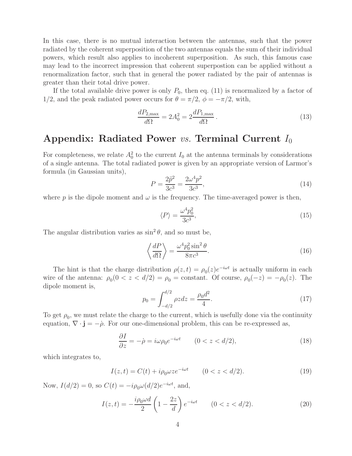In this case, there is no mutual interaction between the antennas, such that the power radiated by the coherent superposition of the two antennas equals the sum of their individual powers, which result also applies to incoherent superposition. As such, this famous case may lead to the incorrect impression that coherent superpostion can be applied without a renormalization factor, such that in general the power radiated by the pair of antennas is greater than their total drive power.

If the total available drive power is only  $P_0$ , then eq. (11) is renormalized by a factor of 1/2, and the peak radiated power occurs for  $\theta = \pi/2$ ,  $\phi = -\pi/2$ , with,

$$
\frac{dP_{2,\text{max}}}{d\Omega} = 2A_0^2 = 2\frac{dP_{1,\text{max}}}{d\Omega} \,. \tag{13}
$$

### Appendix: Radiated Power *vs.* Terminal Current  $I_0$

For completeness, we relate  $A_0^2$  to the current  $I_0$  at the antenna terminals by considerations of a single antenna. The total radiated power is given by an appropriate version of Larmor's formula (in Gaussian units),

$$
P = \frac{2\ddot{p}^2}{3c^3} = \frac{2\omega^4 p^2}{3c^3},\tag{14}
$$

where p is the dipole moment and  $\omega$  is the frequency. The time-averaged power is then,

$$
\langle P \rangle = \frac{\omega^4 p_0^2}{3c^3},\tag{15}
$$

The angular distribution varies as  $\sin^2 \theta$ , and so must be,

$$
\left\langle \frac{dP}{d\Omega} \right\rangle = \frac{\omega^4 p_0^2 \sin^2 \theta}{8\pi c^3}.
$$
\n(16)

The hint is that the charge distribution  $\rho(z,t) = \rho_0(z)e^{-i\omega t}$  is actually uniform in each wire of the antenna:  $\rho_0(0 < z < d/2) = \rho_0 = \text{constant}$ . Of course,  $\rho_0(-z) = -\rho_0(z)$ . The dipole moment is,

$$
p_0 = \int_{-d/2}^{d/2} \rho z dz = \frac{\rho_0 d^2}{4}.
$$
 (17)

To get  $\rho_0$ , we must relate the charge to the current, which is usefully done via the continuity equation,  $\nabla \cdot \mathbf{j} = -\rho$ . For our one-dimensional problem, this can be re-expressed as,

$$
\frac{\partial I}{\partial z} = -\dot{\rho} = i\omega \rho_0 e^{-i\omega t} \qquad (0 < z < d/2),\tag{18}
$$

which integrates to,

$$
I(z,t) = C(t) + i\rho_0 \omega z e^{-i\omega t} \qquad (0 < z < d/2).
$$
 (19)

Now,  $I(d/2) = 0$ , so  $C(t) = -i\rho_0 \omega(d/2)e^{-i\omega t}$ , and,

$$
I(z,t) = -\frac{i\rho_0 \omega d}{2} \left( 1 - \frac{2z}{d} \right) e^{-i\omega t} \qquad (0 < z < d/2). \tag{20}
$$